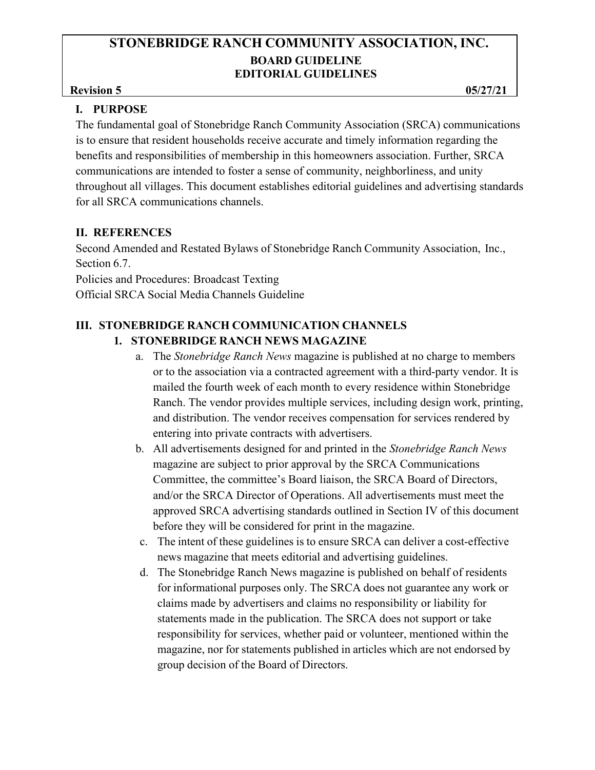#### **Revision 5** 05/27/21

# **I. PURPOSE**

The fundamental goal of Stonebridge Ranch Community Association (SRCA) communications is to ensure that resident households receive accurate and timely information regarding the benefits and responsibilities of membership in this homeowners association. Further, SRCA communications are intended to foster a sense of community, neighborliness, and unity throughout all villages. This document establishes editorial guidelines and advertising standards for all SRCA communications channels.

# **II. REFERENCES**

Second Amended and Restated Bylaws of Stonebridge Ranch Community Association, Inc., Section 6.7.

Policies and Procedures: Broadcast Texting Official SRCA Social Media Channels Guideline

# **III. STONEBRIDGE RANCH COMMUNICATION CHANNELS 1. STONEBRIDGE RANCH NEWS MAGAZINE**

- a. The *Stonebridge Ranch News* magazine is published at no charge to members or to the association via a contracted agreement with a third-party vendor. It is mailed the fourth week of each month to every residence within Stonebridge Ranch. The vendor provides multiple services, including design work, printing, and distribution. The vendor receives compensation for services rendered by entering into private contracts with advertisers.
- b. All advertisements designed for and printed in the *Stonebridge Ranch News*  magazine are subject to prior approval by the SRCA Communications Committee, the committee's Board liaison, the SRCA Board of Directors, and/or the SRCA Director of Operations. All advertisements must meet the approved SRCA advertising standards outlined in Section IV of this document before they will be considered for print in the magazine.
- c. The intent of these guidelines is to ensure SRCA can deliver a cost-effective news magazine that meets editorial and advertising guidelines.
- d. The Stonebridge Ranch News magazine is published on behalf of residents for informational purposes only. The SRCA does not guarantee any work or claims made by advertisers and claims no responsibility or liability for statements made in the publication. The SRCA does not support or take responsibility for services, whether paid or volunteer, mentioned within the magazine, nor for statements published in articles which are not endorsed by group decision of the Board of Directors.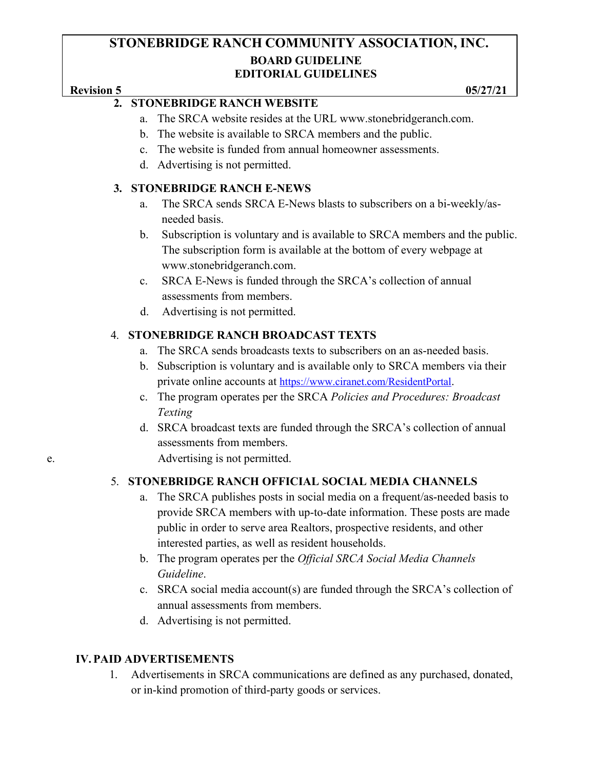# **Revision 5** 05/27/21

# **2. STONEBRIDGE RANCH WEBSITE**

- a. The SRCA website resides at the URL [www.stonebridgeranch.com.](http://www.stonebridgeranch.com/)
- b. The website is available to SRCA members and the public.
- c. The website is funded from annual homeowner assessments.
- d. Advertising is not permitted.

#### **3. STONEBRIDGE RANCH E-NEWS**

- a. The SRCA sends SRCA E-News blasts to subscribers on a bi-weekly/asneeded basis.
- b. Subscription is voluntary and is available to SRCA members and the public. The subscription form is available at the bottom of every webpage at [www.stonebridgeranch.com.](http://www.stonebridgeranch.com/)
- c. SRCA E-News is funded through the SRCA's collection of annual assessments from members.
- d. Advertising is not permitted.

# 4. **STONEBRIDGE RANCH BROADCAST TEXTS**

- a. The SRCA sends broadcasts texts to subscribers on an as-needed basis.
- b. Subscription is voluntary and is available only to SRCA members via their private online accounts at <https://www.ciranet.com/ResidentPortal>.
- c. The program operates per the SRCA *Policies and Procedures: Broadcast Texting*
- d. SRCA broadcast texts are funded through the SRCA's collection of annual assessments from members.

e. Advertising is not permitted.

# 5. **STONEBRIDGE RANCH OFFICIAL SOCIAL MEDIA CHANNELS**

- a. The SRCA publishes posts in social media on a frequent/as-needed basis to provide SRCA members with up-to-date information. These posts are made public in order to serve area Realtors, prospective residents, and other interested parties, as well as resident households.
- b. The program operates per the *Official SRCA Social Media Channels Guideline*.
- c. SRCA social media account(s) are funded through the SRCA's collection of annual assessments from members.
- d. Advertising is not permitted.

# **IV. PAID ADVERTISEMENTS**

1. Advertisements in SRCA communications are defined as any purchased, donated, or in-kind promotion of third-party goods or services.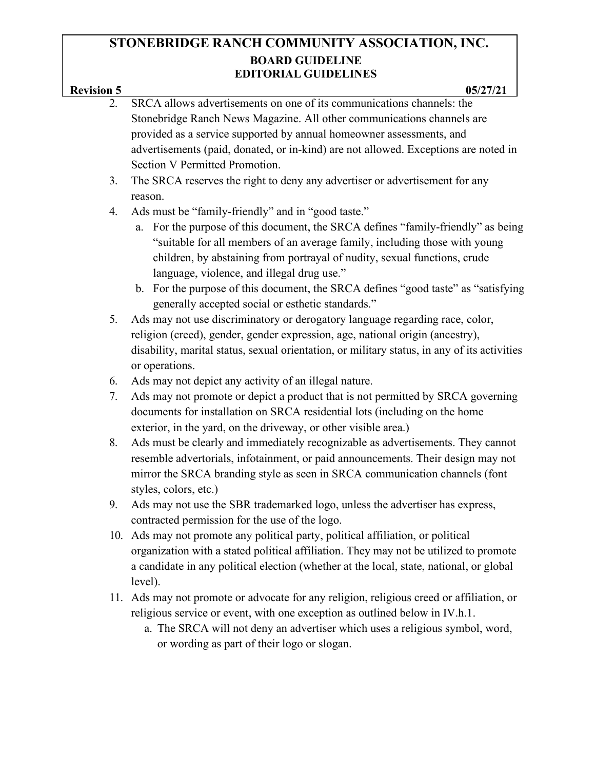# **Revision 5** 05/27/21 2. SRCA allows advertisements on one of its communications channels: the

- Stonebridge Ranch News Magazine. All other communications channels are provided as a service supported by annual homeowner assessments, and advertisements (paid, donated, or in-kind) are not allowed. Exceptions are noted in Section V Permitted Promotion.
- 3. The SRCA reserves the right to deny any advertiser or advertisement for any reason.
- 4. Ads must be "family-friendly" and in "good taste."
	- a. For the purpose of this document, the SRCA defines "family-friendly" as being "suitable for all members of an average family, including those with young children, by abstaining from portrayal of nudity, sexual functions, crude language, violence, and illegal drug use."
	- b. For the purpose of this document, the SRCA defines "good taste" as "satisfying generally accepted social or esthetic standards."
- 5. Ads may not use discriminatory or derogatory language regarding race, color, religion (creed), gender, gender expression, age, national origin (ancestry), disability, marital status, sexual orientation, or military status, in any of its activities or operations.
- 6. Ads may not depict any activity of an illegal nature.
- 7. Ads may not promote or depict a product that is not permitted by SRCA governing documents for installation on SRCA residential lots (including on the home exterior, in the yard, on the driveway, or other visible area.)
- 8. Ads must be clearly and immediately recognizable as advertisements. They cannot resemble advertorials, infotainment, or paid announcements. Their design may not mirror the SRCA branding style as seen in SRCA communication channels (font styles, colors, etc.)
- 9. Ads may not use the SBR trademarked logo, unless the advertiser has express, contracted permission for the use of the logo.
- 10. Ads may not promote any political party, political affiliation, or political organization with a stated political affiliation. They may not be utilized to promote a candidate in any political election (whether at the local, state, national, or global level).
- 11. Ads may not promote or advocate for any religion, religious creed or affiliation, or religious service or event, with one exception as outlined below in IV.h.1.
	- a. The SRCA will not deny an advertiser which uses a religious symbol, word, or wording as part of their logo or slogan.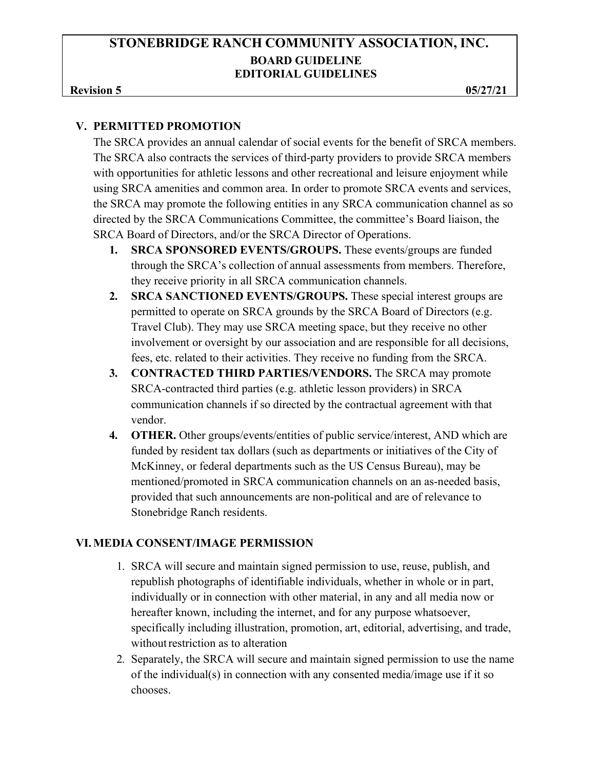#### **Revision 5** 05/27/21

#### **V. PERMITTED PROMOTION**

The SRCA provides an annual calendar of social events for the benefit of SRCA members. The SRCA also contracts the services of third-party providers to provide SRCA members with opportunities for athletic lessons and other recreational and leisure enjoyment while using SRCA amenities and common area. In order to promote SRCA events and services, the SRCA may promote the following entities in any SRCA communication channel as so directed by the SRCA Communications Committee, the committee's Board liaison, the SRCA Board of Directors, and/or the SRCA Director of Operations.

- **1. SRCA SPONSORED EVENTS/GROUPS.** These events/groups are funded through the SRCA's collection of annual assessments from members. Therefore, they receive priority in all SRCA communication channels.
- **2. SRCA SANCTIONED EVENTS/GROUPS.** These special interest groups are permitted to operate on SRCA grounds by the SRCA Board of Directors (e.g. Travel Club). They may use SRCA meeting space, but they receive no other involvement or oversight by our association and are responsible for all decisions, fees, etc. related to their activities. They receive no funding from the SRCA.
- **3. CONTRACTED THIRD PARTIES/VENDORS.** The SRCA may promote SRCA-contracted third parties (e.g. athletic lesson providers) in SRCA communication channels if so directed by the contractual agreement with that vendor.
- **4. OTHER.** Other groups/events/entities of public service/interest, AND which are funded by resident tax dollars (such as departments or initiatives of the City of McKinney, or federal departments such as the US Census Bureau), may be mentioned/promoted in SRCA communication channels on an as-needed basis, provided that such announcements are non-political and are of relevance to Stonebridge Ranch residents.

#### **VI.MEDIA CONSENT/IMAGE PERMISSION**

- 1. SRCA will secure and maintain signed permission to use, reuse, publish, and republish photographs of identifiable individuals, whether in whole or in part, individually or in connection with other material, in any and all media now or hereafter known, including the internet, and for any purpose whatsoever, specifically including illustration, promotion, art, editorial, advertising, and trade, without restriction as to alteration
- 2. Separately, the SRCA will secure and maintain signed permission to use the name of the individual(s) in connection with any consented media/image use if it so chooses.